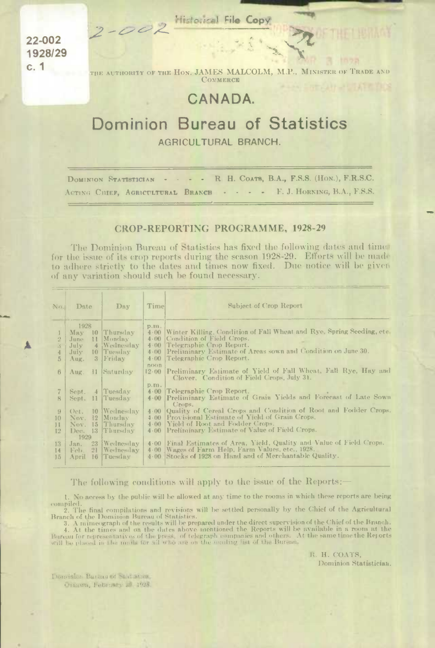2-002 Historical File Copy

22-002 1928/29  $c.1$ 

THE AUTHORITY OF THE HON. JAMES MALCOLM, M.P., MINISTER OF TRADE AND COMMERCE

## CANADA.

## Dominion Bureau of Statistics AGRICULTURAL BRANCH.

R. H. COATS, B.A., F.S.S. (HON.), F.R.S.C. DOMINION STATISTICIAN . . . . F. J. HORNING, B.A., F.S.S. ACTING CHIEF. AGRICULTURAL BRANCH

## **CROP-REPORTING PROGRAMME, 1928-29**

The Dominion Bureau of Statistics has fixed the following dates and times for the issue of its crop reports during the season 1928-29. Efforts will be made to adhere strictly to the dates and times now fixed. Due notice will be given of any variation should such be found necessary.

| $N_{D_{\alpha}}$     | Date        | Day              | Timel            | Subject of Crop Report                                                                                              |
|----------------------|-------------|------------------|------------------|---------------------------------------------------------------------------------------------------------------------|
|                      | 1928        |                  | p.m.             |                                                                                                                     |
|                      | May         | 10 Thursday      | 4.00             | Winter Killing, Condition of Fall Wheat and Rye, Spring Seeding, etc.                                               |
| $\frac{Q}{\omega}$   | June        | 11 Monday        | $4 \cdot 00$     | Condition of Field Crops.                                                                                           |
| $\ddot{\mathcal{S}}$ | July        | 4 Wednesday      | 4.00             | Telegraphic Crop Report.                                                                                            |
|                      | July        | 10 Tuesday       | 4.00             | Preliminary Estimate of Areas sown and Condition on June 30.                                                        |
| $\overline{5}$       | Aug.        | 3 Friday         | $4 \cdot 00$     | Telegraphic Crop Report.                                                                                            |
| 6                    | Aug.        | 11 Saturday      | $n$ $O$<br>12.00 | <b>Preliminary Estimate of Yield of Fall Wheat, Fall Rye, Hay and</b><br>Clover. Condition of Field Crops, July 31. |
|                      |             |                  | D.m.             |                                                                                                                     |
|                      | Sept.       | 4 Tuesday        |                  | $4.00$ Telegraphic Crop Report.<br>4.00 Preliminary Estimate of Grain Yields and Forecast of Late Sown              |
| $\mathbf{R}$         | Sept.       | 11 Tuesday       |                  | Crops.                                                                                                              |
| 9                    | Oct.        | 10  Wednesday    | $4 \cdot 00$     | Quality of Cereal Crops and Condition of Root and Fodder Crops.                                                     |
| 10                   | 12<br>Nov.  | Monday           | $4-(10)$         | Provisional Estimate of Yield of Grain Crops,                                                                       |
| 11                   | Nov.        | 15 Thursday      | $4 \cdot 00$     | Yield of Root and Fodder Crops.                                                                                     |
| 12                   |             | Dec. 13 Thursday |                  | 4.00 Preliminary Estimate of Value of Field Crops.                                                                  |
|                      | 1929        |                  |                  |                                                                                                                     |
| 13                   | 23<br>Jan.  | Wednesday        |                  | 4.00 Final Estimates of Area, Yield, Quality and Value of Field Crops.                                              |
| 14                   | 21<br>Feb.  | Wednesday        | 4.00             | Wages of Farm Help, Farm Values, etc., 1928.                                                                        |
| 15                   | 16<br>April | Tuesday          | $4 \cdot 00$     | Stocks of 1928 on Hand and of Merchantable Quality.                                                                 |

The following conditions will apply to the issue of the Reports:

No access by the public will be allowed at any time to the rooms in which these reports are being  $\mathbf{1}$ . compiled.

2. The final compilations and revisions will be settled personally by the Chief of the Agricultural Branch of the Dominion Bureau of Statistics.

Branch of the Dominion Bureau of Statistics.<br>3. A mimeograph of the chief of the Branch.<br>4. At the times and on the dates above mentioned the Reports will be available in a room at the<br>Bureau for representatives of the pre

R. H. COATS, Dominion Statistician.

Dominion Bureau of Statistics, Orthwa, February 29, 1928